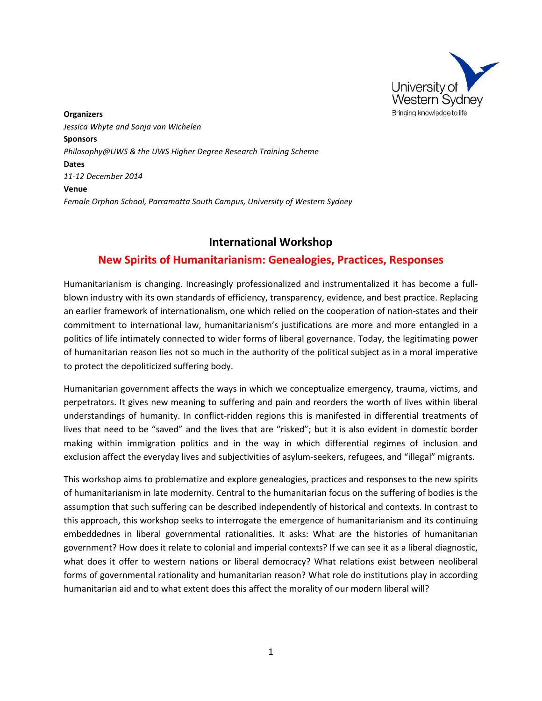

**Organizers** *Jessica Whyte and Sonja van Wichelen* **Sponsors** *Philosophy@UWS & the UWS Higher Degree Research Training Scheme* **Dates** *11-12 December 2014* **Venue** *Female Orphan School, Parramatta South Campus, University of Western Sydney*

# **International Workshop**

# **New Spirits of Humanitarianism: Genealogies, Practices, Responses**

Humanitarianism is changing. Increasingly professionalized and instrumentalized it has become a fullblown industry with its own standards of efficiency, transparency, evidence, and best practice. Replacing an earlier framework of internationalism, one which relied on the cooperation of nation-states and their commitment to international law, humanitarianism's justifications are more and more entangled in a politics of life intimately connected to wider forms of liberal governance. Today, the legitimating power of humanitarian reason lies not so much in the authority of the political subject as in a moral imperative to protect the depoliticized suffering body.

Humanitarian government affects the ways in which we conceptualize emergency, trauma, victims, and perpetrators. It gives new meaning to suffering and pain and reorders the worth of lives within liberal understandings of humanity. In conflict-ridden regions this is manifested in differential treatments of lives that need to be "saved" and the lives that are "risked"; but it is also evident in domestic border making within immigration politics and in the way in which differential regimes of inclusion and exclusion affect the everyday lives and subjectivities of asylum-seekers, refugees, and "illegal" migrants.

This workshop aims to problematize and explore genealogies, practices and responses to the new spirits of humanitarianism in late modernity. Central to the humanitarian focus on the suffering of bodies is the assumption that such suffering can be described independently of historical and contexts. In contrast to this approach, this workshop seeks to interrogate the emergence of humanitarianism and its continuing embeddednes in liberal governmental rationalities. It asks: What are the histories of humanitarian government? How does it relate to colonial and imperial contexts? If we can see it as a liberal diagnostic, what does it offer to western nations or liberal democracy? What relations exist between neoliberal forms of governmental rationality and humanitarian reason? What role do institutions play in according humanitarian aid and to what extent does this affect the morality of our modern liberal will?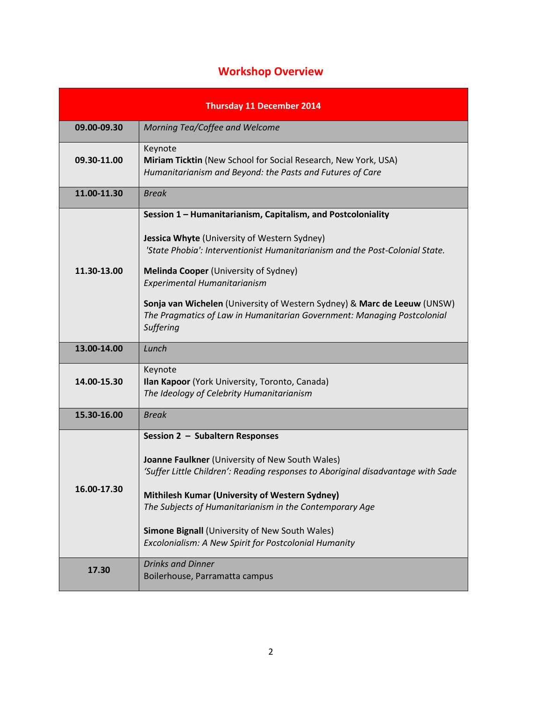# **Workshop Overview**

| <b>Thursday 11 December 2014</b> |                                                                                                                                                                                                                                                                                                                                                                                                                                                           |
|----------------------------------|-----------------------------------------------------------------------------------------------------------------------------------------------------------------------------------------------------------------------------------------------------------------------------------------------------------------------------------------------------------------------------------------------------------------------------------------------------------|
| 09.00-09.30                      | Morning Tea/Coffee and Welcome                                                                                                                                                                                                                                                                                                                                                                                                                            |
| 09.30-11.00                      | Keynote<br>Miriam Ticktin (New School for Social Research, New York, USA)<br>Humanitarianism and Beyond: the Pasts and Futures of Care                                                                                                                                                                                                                                                                                                                    |
| 11.00-11.30                      | <b>Break</b>                                                                                                                                                                                                                                                                                                                                                                                                                                              |
| 11.30-13.00<br>13.00-14.00       | Session 1 - Humanitarianism, Capitalism, and Postcoloniality<br>Jessica Whyte (University of Western Sydney)<br>'State Phobia': Interventionist Humanitarianism and the Post-Colonial State.<br><b>Melinda Cooper (University of Sydney)</b><br>Experimental Humanitarianism<br>Sonja van Wichelen (University of Western Sydney) & Marc de Leeuw (UNSW)<br>The Pragmatics of Law in Humanitarian Government: Managing Postcolonial<br>Suffering<br>Lunch |
| 14.00-15.30                      | Keynote<br>Ilan Kapoor (York University, Toronto, Canada)<br>The Ideology of Celebrity Humanitarianism                                                                                                                                                                                                                                                                                                                                                    |
| 15.30-16.00                      | <b>Break</b>                                                                                                                                                                                                                                                                                                                                                                                                                                              |
| 16.00-17.30                      | Session 2 - Subaltern Responses<br>Joanne Faulkner (University of New South Wales)<br>'Suffer Little Children': Reading responses to Aboriginal disadvantage with Sade<br>Mithilesh Kumar (University of Western Sydney)<br>The Subjects of Humanitarianism in the Contemporary Age<br><b>Simone Bignall (University of New South Wales)</b><br>Excolonialism: A New Spirit for Postcolonial Humanity                                                     |
| 17.30                            | <b>Drinks and Dinner</b><br>Boilerhouse, Parramatta campus                                                                                                                                                                                                                                                                                                                                                                                                |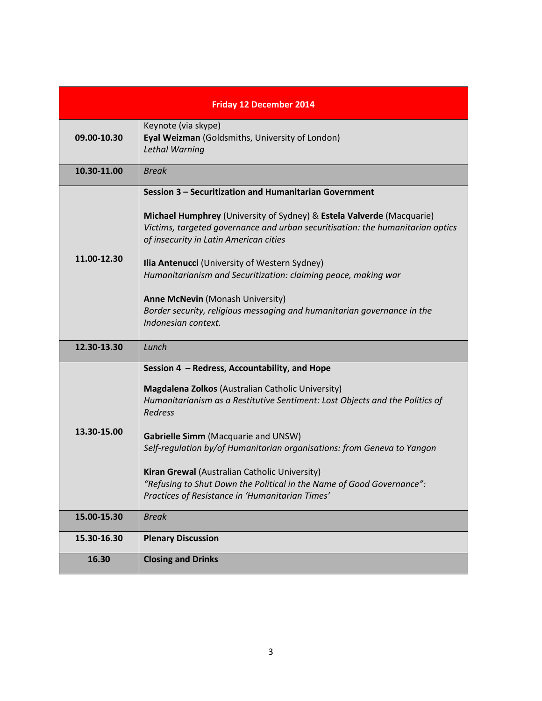| <b>Friday 12 December 2014</b> |                                                                                                                                                                                                                                                                                                                                                                                                                                                                                                                             |
|--------------------------------|-----------------------------------------------------------------------------------------------------------------------------------------------------------------------------------------------------------------------------------------------------------------------------------------------------------------------------------------------------------------------------------------------------------------------------------------------------------------------------------------------------------------------------|
| 09.00-10.30                    | Keynote (via skype)<br>Eyal Weizman (Goldsmiths, University of London)<br><b>Lethal Warning</b>                                                                                                                                                                                                                                                                                                                                                                                                                             |
| 10.30-11.00                    | <b>Break</b>                                                                                                                                                                                                                                                                                                                                                                                                                                                                                                                |
| 11.00-12.30                    | Session 3 - Securitization and Humanitarian Government<br>Michael Humphrey (University of Sydney) & Estela Valverde (Macquarie)<br>Victims, targeted governance and urban securitisation: the humanitarian optics<br>of insecurity in Latin American cities<br>Ilia Antenucci (University of Western Sydney)<br>Humanitarianism and Securitization: claiming peace, making war<br><b>Anne McNevin (Monash University)</b><br>Border security, religious messaging and humanitarian governance in the<br>Indonesian context. |
| 12.30-13.30                    | Lunch                                                                                                                                                                                                                                                                                                                                                                                                                                                                                                                       |
| 13.30-15.00                    | Session 4 - Redress, Accountability, and Hope<br>Magdalena Zolkos (Australian Catholic University)<br>Humanitarianism as a Restitutive Sentiment: Lost Objects and the Politics of<br>Redress<br>Gabrielle Simm (Macquarie and UNSW)<br>Self-regulation by/of Humanitarian organisations: from Geneva to Yangon<br>Kiran Grewal (Australian Catholic University)<br>"Refusing to Shut Down the Political in the Name of Good Governance":<br>Practices of Resistance in 'Humanitarian Times'                                |
| 15.00-15.30                    | <b>Break</b>                                                                                                                                                                                                                                                                                                                                                                                                                                                                                                                |
| 15.30-16.30                    | <b>Plenary Discussion</b>                                                                                                                                                                                                                                                                                                                                                                                                                                                                                                   |
| 16.30                          | <b>Closing and Drinks</b>                                                                                                                                                                                                                                                                                                                                                                                                                                                                                                   |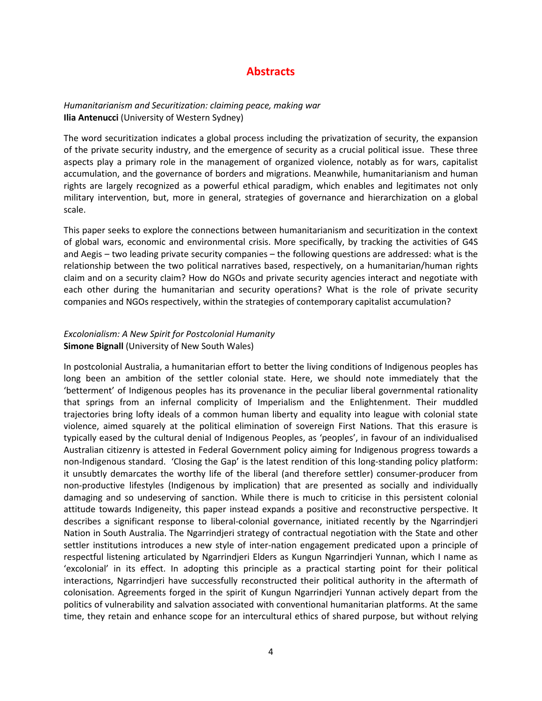# **Abstracts**

#### *Humanitarianism and Securitization: claiming peace, making war* **Ilia Antenucci** (University of Western Sydney)

The word securitization indicates a global process including the privatization of security, the expansion of the private security industry, and the emergence of security as a crucial political issue. These three aspects play a primary role in the management of organized violence, notably as for wars, capitalist accumulation, and the governance of borders and migrations. Meanwhile, humanitarianism and human rights are largely recognized as a powerful ethical paradigm, which enables and legitimates not only military intervention, but, more in general, strategies of governance and hierarchization on a global scale.

This paper seeks to explore the connections between humanitarianism and securitization in the context of global wars, economic and environmental crisis. More specifically, by tracking the activities of G4S and Aegis – two leading private security companies – the following questions are addressed: what is the relationship between the two political narratives based, respectively, on a humanitarian/human rights claim and on a security claim? How do NGOs and private security agencies interact and negotiate with each other during the humanitarian and security operations? What is the role of private security companies and NGOs respectively, within the strategies of contemporary capitalist accumulation?

## *Excolonialism: A New Spirit for Postcolonial Humanity*  **Simone Bignall** (University of New South Wales)

In postcolonial Australia, a humanitarian effort to better the living conditions of Indigenous peoples has long been an ambition of the settler colonial state. Here, we should note immediately that the 'betterment' of Indigenous peoples has its provenance in the peculiar liberal governmental rationality that springs from an infernal complicity of Imperialism and the Enlightenment. Their muddled trajectories bring lofty ideals of a common human liberty and equality into league with colonial state violence, aimed squarely at the political elimination of sovereign First Nations. That this erasure is typically eased by the cultural denial of Indigenous Peoples, as 'peoples', in favour of an individualised Australian citizenry is attested in Federal Government policy aiming for Indigenous progress towards a non-Indigenous standard. 'Closing the Gap' is the latest rendition of this long-standing policy platform: it unsubtly demarcates the worthy life of the liberal (and therefore settler) consumer-producer from non-productive lifestyles (Indigenous by implication) that are presented as socially and individually damaging and so undeserving of sanction. While there is much to criticise in this persistent colonial attitude towards Indigeneity, this paper instead expands a positive and reconstructive perspective. It describes a significant response to liberal-colonial governance, initiated recently by the Ngarrindjeri Nation in South Australia. The Ngarrindjeri strategy of contractual negotiation with the State and other settler institutions introduces a new style of inter-nation engagement predicated upon a principle of respectful listening articulated by Ngarrindjeri Elders as Kungun Ngarrindjeri Yunnan, which I name as 'excolonial' in its effect. In adopting this principle as a practical starting point for their political interactions, Ngarrindjeri have successfully reconstructed their political authority in the aftermath of colonisation. Agreements forged in the spirit of Kungun Ngarrindjeri Yunnan actively depart from the politics of vulnerability and salvation associated with conventional humanitarian platforms. At the same time, they retain and enhance scope for an intercultural ethics of shared purpose, but without relying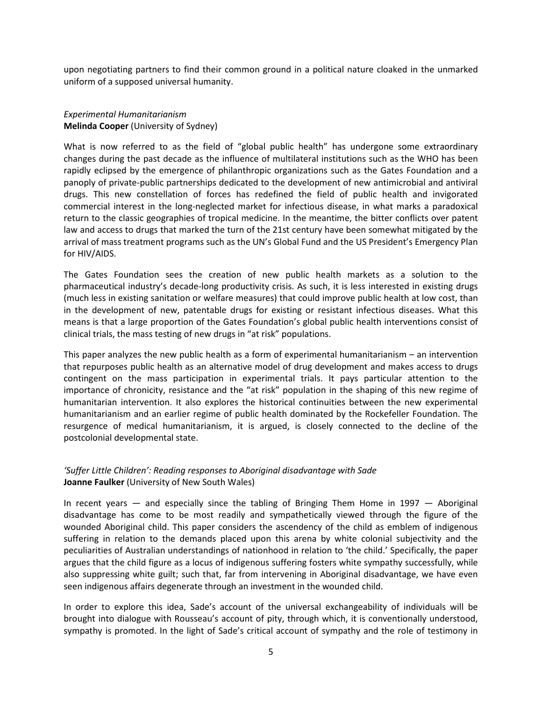upon negotiating partners to find their common ground in a political nature cloaked in the unmarked uniform of a supposed universal humanity.

#### *Experimental Humanitarianism* **Melinda Cooper** (University of Sydney)

What is now referred to as the field of "global public health" has undergone some extraordinary changes during the past decade as the influence of multilateral institutions such as the WHO has been rapidly eclipsed by the emergence of philanthropic organizations such as the Gates Foundation and a panoply of private-public partnerships dedicated to the development of new antimicrobial and antiviral drugs. This new constellation of forces has redefined the field of public health and invigorated commercial interest in the long-neglected market for infectious disease, in what marks a paradoxical return to the classic geographies of tropical medicine. In the meantime, the bitter conflicts over patent law and access to drugs that marked the turn of the 21st century have been somewhat mitigated by the arrival of mass treatment programs such as the UN's Global Fund and the US President's Emergency Plan for HIV/AIDS.

The Gates Foundation sees the creation of new public health markets as a solution to the pharmaceutical industry's decade-long productivity crisis. As such, it is less interested in existing drugs (much less in existing sanitation or welfare measures) that could improve public health at low cost, than in the development of new, patentable drugs for existing or resistant infectious diseases. What this means is that a large proportion of the Gates Foundation's global public health interventions consist of clinical trials, the mass testing of new drugs in "at risk" populations.

This paper analyzes the new public health as a form of experimental humanitarianism – an intervention that repurposes public health as an alternative model of drug development and makes access to drugs contingent on the mass participation in experimental trials. It pays particular attention to the importance of chronicity, resistance and the "at risk" population in the shaping of this new regime of humanitarian intervention. It also explores the historical continuities between the new experimental humanitarianism and an earlier regime of public health dominated by the Rockefeller Foundation. The resurgence of medical humanitarianism, it is argued, is closely connected to the decline of the postcolonial developmental state.

## *'Suffer Little Children': Reading responses to Aboriginal disadvantage with Sade* **Joanne Faulker** (University of New South Wales)

In recent years  $-$  and especially since the tabling of Bringing Them Home in 1997  $-$  Aboriginal disadvantage has come to be most readily and sympathetically viewed through the figure of the wounded Aboriginal child. This paper considers the ascendency of the child as emblem of indigenous suffering in relation to the demands placed upon this arena by white colonial subjectivity and the peculiarities of Australian understandings of nationhood in relation to 'the child.' Specifically, the paper argues that the child figure as a locus of indigenous suffering fosters white sympathy successfully, while also suppressing white guilt; such that, far from intervening in Aboriginal disadvantage, we have even seen indigenous affairs degenerate through an investment in the wounded child.

In order to explore this idea, Sade's account of the universal exchangeability of individuals will be brought into dialogue with Rousseau's account of pity, through which, it is conventionally understood, sympathy is promoted. In the light of Sade's critical account of sympathy and the role of testimony in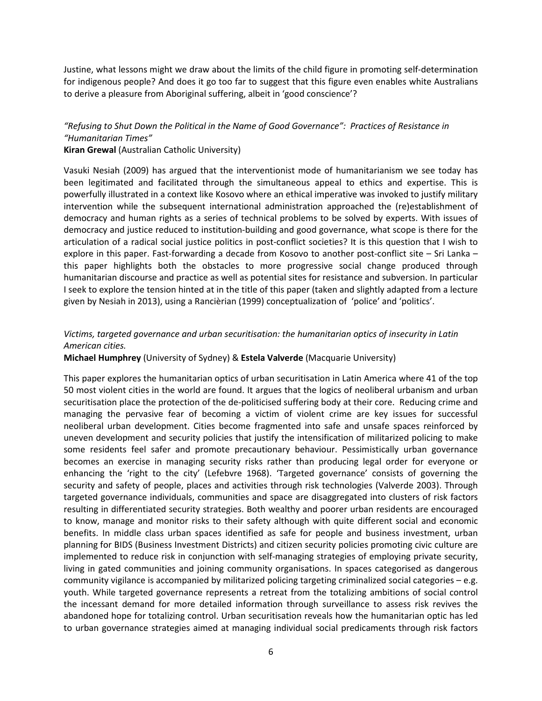Justine, what lessons might we draw about the limits of the child figure in promoting self-determination for indigenous people? And does it go too far to suggest that this figure even enables white Australians to derive a pleasure from Aboriginal suffering, albeit in 'good conscience'?

## *"Refusing to Shut Down the Political in the Name of Good Governance": Practices of Resistance in "Humanitarian Times"*

#### **Kiran Grewal** (Australian Catholic University)

Vasuki Nesiah (2009) has argued that the interventionist mode of humanitarianism we see today has been legitimated and facilitated through the simultaneous appeal to ethics and expertise. This is powerfully illustrated in a context like Kosovo where an ethical imperative was invoked to justify military intervention while the subsequent international administration approached the (re)establishment of democracy and human rights as a series of technical problems to be solved by experts. With issues of democracy and justice reduced to institution-building and good governance, what scope is there for the articulation of a radical social justice politics in post-conflict societies? It is this question that I wish to explore in this paper. Fast-forwarding a decade from Kosovo to another post-conflict site – Sri Lanka – this paper highlights both the obstacles to more progressive social change produced through humanitarian discourse and practice as well as potential sites for resistance and subversion. In particular I seek to explore the tension hinted at in the title of this paper (taken and slightly adapted from a lecture given by Nesiah in 2013), using a Rancièrian (1999) conceptualization of 'police' and 'politics'.

#### *Victims, targeted governance and urban securitisation: the humanitarian optics of insecurity in Latin American cities.*

**Michael Humphrey** (University of Sydney) & **Estela Valverde** (Macquarie University)

This paper explores the humanitarian optics of urban securitisation in Latin America where 41 of the top 50 most violent cities in the world are found. It argues that the logics of neoliberal urbanism and urban securitisation place the protection of the de-politicised suffering body at their core. Reducing crime and managing the pervasive fear of becoming a victim of violent crime are key issues for successful neoliberal urban development. Cities become fragmented into safe and unsafe spaces reinforced by uneven development and security policies that justify the intensification of militarized policing to make some residents feel safer and promote precautionary behaviour. Pessimistically urban governance becomes an exercise in managing security risks rather than producing legal order for everyone or enhancing the 'right to the city' (Lefebvre 1968). 'Targeted governance' consists of governing the security and safety of people, places and activities through risk technologies (Valverde 2003). Through targeted governance individuals, communities and space are disaggregated into clusters of risk factors resulting in differentiated security strategies. Both wealthy and poorer urban residents are encouraged to know, manage and monitor risks to their safety although with quite different social and economic benefits. In middle class urban spaces identified as safe for people and business investment, urban planning for BIDS (Business Investment Districts) and citizen security policies promoting civic culture are implemented to reduce risk in conjunction with self-managing strategies of employing private security, living in gated communities and joining community organisations. In spaces categorised as dangerous community vigilance is accompanied by militarized policing targeting criminalized social categories – e.g. youth. While targeted governance represents a retreat from the totalizing ambitions of social control the incessant demand for more detailed information through surveillance to assess risk revives the abandoned hope for totalizing control. Urban securitisation reveals how the humanitarian optic has led to urban governance strategies aimed at managing individual social predicaments through risk factors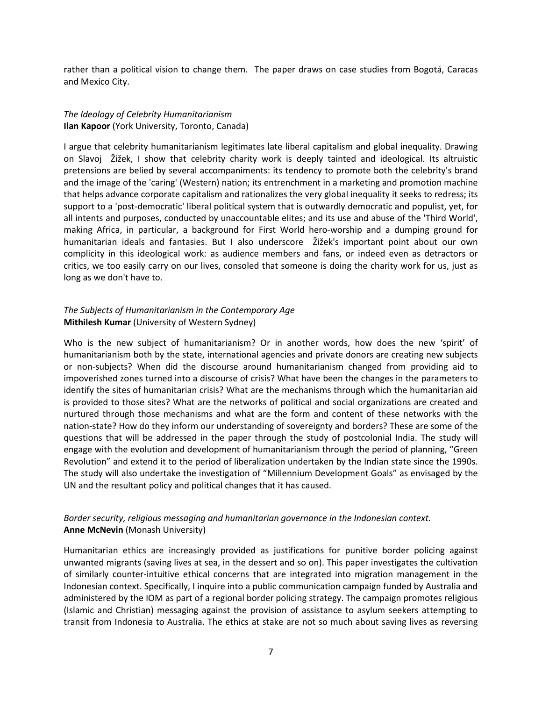rather than a political vision to change them. The paper draws on case studies from Bogotá, Caracas and Mexico City.

#### *The Ideology of Celebrity Humanitarianism* **Ilan Kapoor** (York University, Toronto, Canada)

I argue that celebrity humanitarianism legitimates late liberal capitalism and global inequality. Drawing on Slavoj Žižek, I show that celebrity charity work is deeply tainted and ideological. Its altruistic pretensions are belied by several accompaniments: its tendency to promote both the celebrity's brand and the image of the 'caring' (Western) nation; its entrenchment in a marketing and promotion machine that helps advance corporate capitalism and rationalizes the very global inequality it seeks to redress; its support to a 'post-democratic' liberal political system that is outwardly democratic and populist, yet, for all intents and purposes, conducted by unaccountable elites; and its use and abuse of the 'Third World', making Africa, in particular, a background for First World hero-worship and a dumping ground for humanitarian ideals and fantasies. But I also underscore Žižek's important point about our own complicity in this ideological work: as audience members and fans, or indeed even as detractors or critics, we too easily carry on our lives, consoled that someone is doing the charity work for us, just as long as we don't have to.

#### *The Subjects of Humanitarianism in the Contemporary Age* **Mithilesh Kumar** (University of Western Sydney)

Who is the new subject of humanitarianism? Or in another words, how does the new 'spirit' of humanitarianism both by the state, international agencies and private donors are creating new subjects or non-subjects? When did the discourse around humanitarianism changed from providing aid to impoverished zones turned into a discourse of crisis? What have been the changes in the parameters to identify the sites of humanitarian crisis? What are the mechanisms through which the humanitarian aid is provided to those sites? What are the networks of political and social organizations are created and nurtured through those mechanisms and what are the form and content of these networks with the nation-state? How do they inform our understanding of sovereignty and borders? These are some of the questions that will be addressed in the paper through the study of postcolonial India. The study will engage with the evolution and development of humanitarianism through the period of planning, "Green Revolution" and extend it to the period of liberalization undertaken by the Indian state since the 1990s. The study will also undertake the investigation of "Millennium Development Goals" as envisaged by the UN and the resultant policy and political changes that it has caused.

#### *Border security, religious messaging and humanitarian governance in the Indonesian context.* **Anne McNevin** (Monash University)

Humanitarian ethics are increasingly provided as justifications for punitive border policing against unwanted migrants (saving lives at sea, in the dessert and so on). This paper investigates the cultivation of similarly counter-intuitive ethical concerns that are integrated into migration management in the Indonesian context. Specifically, I inquire into a public communication campaign funded by Australia and administered by the IOM as part of a regional border policing strategy. The campaign promotes religious (Islamic and Christian) messaging against the provision of assistance to asylum seekers attempting to transit from Indonesia to Australia. The ethics at stake are not so much about saving lives as reversing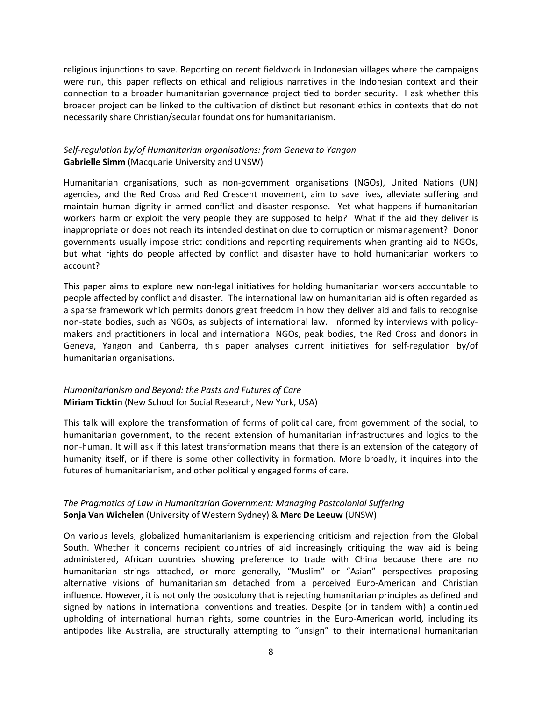religious injunctions to save. Reporting on recent fieldwork in Indonesian villages where the campaigns were run, this paper reflects on ethical and religious narratives in the Indonesian context and their connection to a broader humanitarian governance project tied to border security. I ask whether this broader project can be linked to the cultivation of distinct but resonant ethics in contexts that do not necessarily share Christian/secular foundations for humanitarianism.

#### *Self-regulation by/of Humanitarian organisations: from Geneva to Yangon* **Gabrielle Simm** (Macquarie University and UNSW)

Humanitarian organisations, such as non-government organisations (NGOs), United Nations (UN) agencies, and the Red Cross and Red Crescent movement, aim to save lives, alleviate suffering and maintain human dignity in armed conflict and disaster response. Yet what happens if humanitarian workers harm or exploit the very people they are supposed to help? What if the aid they deliver is inappropriate or does not reach its intended destination due to corruption or mismanagement? Donor governments usually impose strict conditions and reporting requirements when granting aid to NGOs, but what rights do people affected by conflict and disaster have to hold humanitarian workers to account?

This paper aims to explore new non-legal initiatives for holding humanitarian workers accountable to people affected by conflict and disaster. The international law on humanitarian aid is often regarded as a sparse framework which permits donors great freedom in how they deliver aid and fails to recognise non-state bodies, such as NGOs, as subjects of international law. Informed by interviews with policymakers and practitioners in local and international NGOs, peak bodies, the Red Cross and donors in Geneva, Yangon and Canberra, this paper analyses current initiatives for self-regulation by/of humanitarian organisations.

## *Humanitarianism and Beyond: the Pasts and Futures of Care* **Miriam Ticktin** (New School for Social Research, New York, USA)

This talk will explore the transformation of forms of political care, from government of the social, to humanitarian government, to the recent extension of humanitarian infrastructures and logics to the non-human. It will ask if this latest transformation means that there is an extension of the category of humanity itself, or if there is some other collectivity in formation. More broadly, it inquires into the futures of humanitarianism, and other politically engaged forms of care.

## *The Pragmatics of Law in Humanitarian Government: Managing Postcolonial Suffering* **Sonja Van Wichelen** (University of Western Sydney) & **Marc De Leeuw** (UNSW)

On various levels, globalized humanitarianism is experiencing criticism and rejection from the Global South. Whether it concerns recipient countries of aid increasingly critiquing the way aid is being administered, African countries showing preference to trade with China because there are no humanitarian strings attached, or more generally, "Muslim" or "Asian" perspectives proposing alternative visions of humanitarianism detached from a perceived Euro-American and Christian influence. However, it is not only the postcolony that is rejecting humanitarian principles as defined and signed by nations in international conventions and treaties. Despite (or in tandem with) a continued upholding of international human rights, some countries in the Euro-American world, including its antipodes like Australia, are structurally attempting to "unsign" to their international humanitarian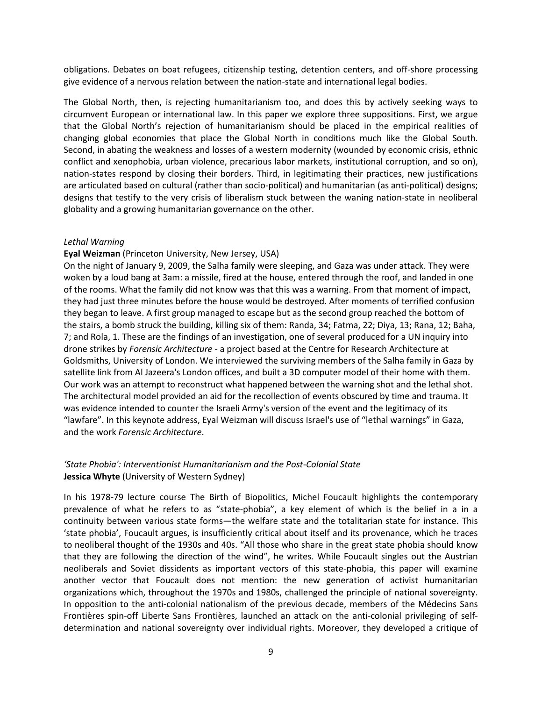obligations. Debates on boat refugees, citizenship testing, detention centers, and off-shore processing give evidence of a nervous relation between the nation-state and international legal bodies.

The Global North, then, is rejecting humanitarianism too, and does this by actively seeking ways to circumvent European or international law. In this paper we explore three suppositions. First, we argue that the Global North's rejection of humanitarianism should be placed in the empirical realities of changing global economies that place the Global North in conditions much like the Global South. Second, in abating the weakness and losses of a western modernity (wounded by economic crisis, ethnic conflict and xenophobia, urban violence, precarious labor markets, institutional corruption, and so on), nation-states respond by closing their borders. Third, in legitimating their practices, new justifications are articulated based on cultural (rather than socio-political) and humanitarian (as anti-political) designs; designs that testify to the very crisis of liberalism stuck between the waning nation-state in neoliberal globality and a growing humanitarian governance on the other.

#### *Lethal Warning*

#### **Eyal Weizman** (Princeton University, New Jersey, USA)

On the night of January 9, 2009, the Salha family were sleeping, and Gaza was under attack. They were woken by a loud bang at 3am: a missile, fired at the house, entered through the roof, and landed in one of the rooms. What the family did not know was that this was a warning. From that moment of impact, they had just three minutes before the house would be destroyed. After moments of terrified confusion they began to leave. A first group managed to escape but as the second group reached the bottom of the stairs, a bomb struck the building, killing six of them: Randa, 34; Fatma, 22; Diya, 13; Rana, 12; Baha, 7; and Rola, 1. These are the findings of an investigation, one of several produced for a UN inquiry into drone strikes by *Forensic Architecture* - a project based at the Centre for Research Architecture at Goldsmiths, University of London. We interviewed the surviving members of the Salha family in Gaza by satellite link from Al Jazeera's London offices, and built a 3D computer model of their home with them. Our work was an attempt to reconstruct what happened between the warning shot and the lethal shot. The architectural model provided an aid for the recollection of events obscured by time and trauma. It was evidence intended to counter the Israeli Army's version of the event and the legitimacy of its "lawfare". In this keynote address, Eyal Weizman will discuss Israel's use of "lethal warnings" in Gaza, and the work *Forensic Architecture*.

#### *'State Phobia': Interventionist Humanitarianism and the Post-Colonial State* **Jessica Whyte** (University of Western Sydney)

In his 1978-79 lecture course The Birth of Biopolitics, Michel Foucault highlights the contemporary prevalence of what he refers to as "state-phobia", a key element of which is the belief in a in a continuity between various state forms—the welfare state and the totalitarian state for instance. This 'state phobia', Foucault argues, is insufficiently critical about itself and its provenance, which he traces to neoliberal thought of the 1930s and 40s. "All those who share in the great state phobia should know that they are following the direction of the wind", he writes. While Foucault singles out the Austrian neoliberals and Soviet dissidents as important vectors of this state-phobia, this paper will examine another vector that Foucault does not mention: the new generation of activist humanitarian organizations which, throughout the 1970s and 1980s, challenged the principle of national sovereignty. In opposition to the anti-colonial nationalism of the previous decade, members of the Médecins Sans Frontières spin-off Liberte Sans Frontières, launched an attack on the anti-colonial privileging of selfdetermination and national sovereignty over individual rights. Moreover, they developed a critique of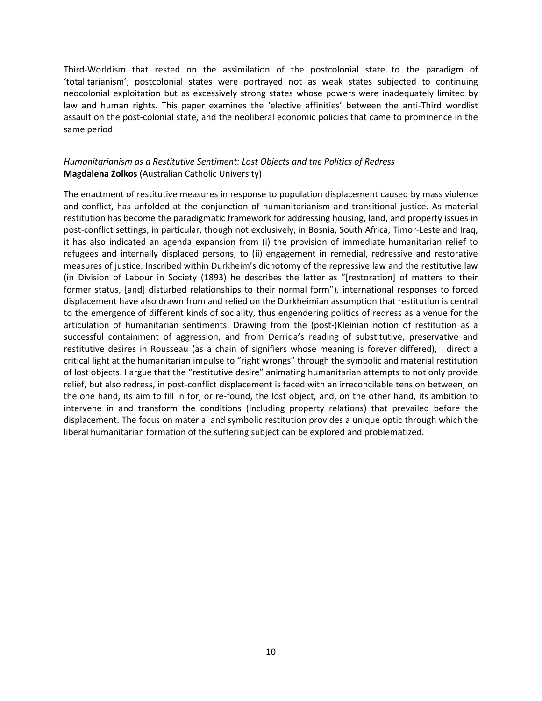Third-Worldism that rested on the assimilation of the postcolonial state to the paradigm of 'totalitarianism'; postcolonial states were portrayed not as weak states subjected to continuing neocolonial exploitation but as excessively strong states whose powers were inadequately limited by law and human rights. This paper examines the 'elective affinities' between the anti-Third wordlist assault on the post-colonial state, and the neoliberal economic policies that came to prominence in the same period.

## *Humanitarianism as a Restitutive Sentiment: Lost Objects and the Politics of Redress*  **Magdalena Zolkos** (Australian Catholic University)

The enactment of restitutive measures in response to population displacement caused by mass violence and conflict, has unfolded at the conjunction of humanitarianism and transitional justice. As material restitution has become the paradigmatic framework for addressing housing, land, and property issues in post-conflict settings, in particular, though not exclusively, in Bosnia, South Africa, Timor-Leste and Iraq, it has also indicated an agenda expansion from (i) the provision of immediate humanitarian relief to refugees and internally displaced persons, to (ii) engagement in remedial, redressive and restorative measures of justice. Inscribed within Durkheim's dichotomy of the repressive law and the restitutive law (in Division of Labour in Society (1893) he describes the latter as "[restoration] of matters to their former status, [and] disturbed relationships to their normal form"), international responses to forced displacement have also drawn from and relied on the Durkheimian assumption that restitution is central to the emergence of different kinds of sociality, thus engendering politics of redress as a venue for the articulation of humanitarian sentiments. Drawing from the (post-)Kleinian notion of restitution as a successful containment of aggression, and from Derrida's reading of substitutive, preservative and restitutive desires in Rousseau (as a chain of signifiers whose meaning is forever differed), I direct a critical light at the humanitarian impulse to "right wrongs" through the symbolic and material restitution of lost objects. I argue that the "restitutive desire" animating humanitarian attempts to not only provide relief, but also redress, in post-conflict displacement is faced with an irreconcilable tension between, on the one hand, its aim to fill in for, or re-found, the lost object, and, on the other hand, its ambition to intervene in and transform the conditions (including property relations) that prevailed before the displacement. The focus on material and symbolic restitution provides a unique optic through which the liberal humanitarian formation of the suffering subject can be explored and problematized.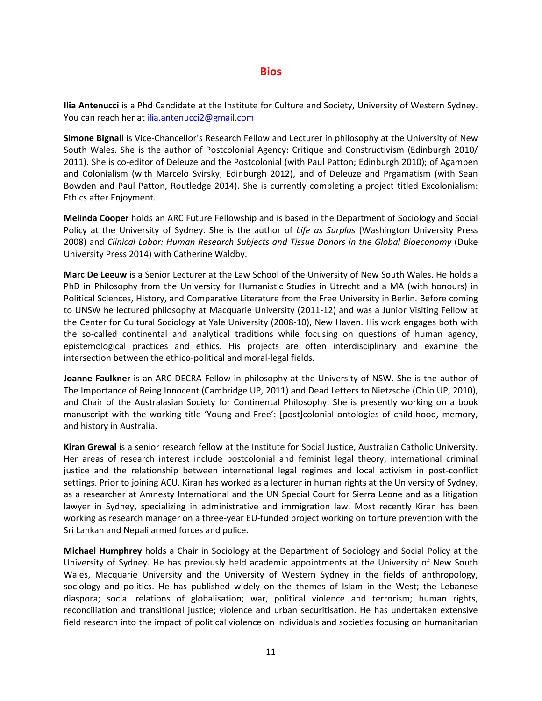#### **Bios**

**Ilia Antenucci** is a Phd Candidate at the Institute for Culture and Society, University of Western Sydney. You can reach her at [ilia.antenucci2@gmail.com](mailto:ilia.antenucci2@gmail.com)

**Simone Bignall** is Vice-Chancellor's Research Fellow and Lecturer in philosophy at the University of New South Wales. She is the author of Postcolonial Agency: Critique and Constructivism (Edinburgh 2010/ 2011). She is co-editor of Deleuze and the Postcolonial (with Paul Patton; Edinburgh 2010); of Agamben and Colonialism (with Marcelo Svirsky; Edinburgh 2012), and of Deleuze and Prgamatism (with Sean Bowden and Paul Patton, Routledge 2014). She is currently completing a project titled Excolonialism: Ethics after Enjoyment.

**Melinda Cooper** holds an ARC Future Fellowship and is based in the Department of Sociology and Social Policy at the University of Sydney. She is the author of *Life as Surplus* (Washington University Press 2008) and *Clinical Labor: Human Research Subjects and Tissue Donors in the Global Bioeconomy* (Duke University Press 2014) with Catherine Waldby.

**Marc De Leeuw** is a Senior Lecturer at the Law School of the University of New South Wales. He holds a PhD in Philosophy from the University for Humanistic Studies in Utrecht and a MA (with honours) in Political Sciences, History, and Comparative Literature from the Free University in Berlin. Before coming to UNSW he lectured philosophy at Macquarie University (2011-12) and was a Junior Visiting Fellow at the Center for Cultural Sociology at Yale University (2008-10), New Haven. His work engages both with the so-called continental and analytical traditions while focusing on questions of human agency, epistemological practices and ethics. His projects are often interdisciplinary and examine the intersection between the ethico-political and moral-legal fields.

**Joanne Faulkner** is an ARC DECRA Fellow in philosophy at the University of NSW. She is the author of The Importance of Being Innocent (Cambridge UP, 2011) and Dead Letters to Nietzsche (Ohio UP, 2010), and Chair of the Australasian Society for Continental Philosophy. She is presently working on a book manuscript with the working title 'Young and Free': [post]colonial ontologies of child-hood, memory, and history in Australia.

**Kiran Grewal** is a senior research fellow at the Institute for Social Justice, Australian Catholic University. Her areas of research interest include postcolonial and feminist legal theory, international criminal justice and the relationship between international legal regimes and local activism in post-conflict settings. Prior to joining ACU, Kiran has worked as a lecturer in human rights at the University of Sydney, as a researcher at Amnesty International and the UN Special Court for Sierra Leone and as a litigation lawyer in Sydney, specializing in administrative and immigration law. Most recently Kiran has been working as research manager on a three-year EU-funded project working on torture prevention with the Sri Lankan and Nepali armed forces and police.

**Michael Humphrey** holds a Chair in Sociology at the Department of Sociology and Social Policy at the University of Sydney. He has previously held academic appointments at the University of New South Wales, Macquarie University and the University of Western Sydney in the fields of anthropology, sociology and politics. He has published widely on the themes of Islam in the West; the Lebanese diaspora; social relations of globalisation; war, political violence and terrorism; human rights, reconciliation and transitional justice; violence and urban securitisation. He has undertaken extensive field research into the impact of political violence on individuals and societies focusing on humanitarian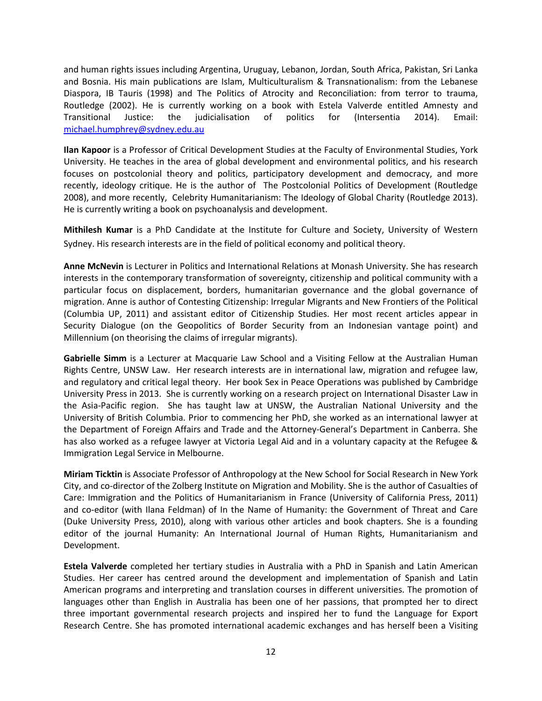and human rights issues including Argentina, Uruguay, Lebanon, Jordan, South Africa, Pakistan, Sri Lanka and Bosnia. His main publications are Islam, Multiculturalism & Transnationalism: from the Lebanese Diaspora, IB Tauris (1998) and The Politics of Atrocity and Reconciliation: from terror to trauma, Routledge (2002). He is currently working on a book with Estela Valverde entitled Amnesty and Transitional Justice: the judicialisation of politics for (Intersentia 2014). Email: [michael.humphrey@sydney.edu.au](mailto:michael.humphrey@sydney.edu.au)

**Ilan Kapoor** is a Professor of Critical Development Studies at the Faculty of Environmental Studies, York University. He teaches in the area of global development and environmental politics, and his research focuses on postcolonial theory and politics, participatory development and democracy, and more recently, ideology critique. He is the author of The Postcolonial Politics of Development (Routledge 2008), and more recently, Celebrity Humanitarianism: The Ideology of Global Charity (Routledge 2013). He is currently writing a book on psychoanalysis and development.

**Mithilesh Kumar** is a PhD Candidate at the Institute for Culture and Society, University of Western Sydney. His research interests are in the field of political economy and political theory.

**Anne McNevin** is Lecturer in Politics and International Relations at Monash University. She has research interests in the contemporary transformation of sovereignty, citizenship and political community with a particular focus on displacement, borders, humanitarian governance and the global governance of migration. Anne is author of Contesting Citizenship: Irregular Migrants and New Frontiers of the Political (Columbia UP, 2011) and assistant editor of Citizenship Studies. Her most recent articles appear in Security Dialogue (on the Geopolitics of Border Security from an Indonesian vantage point) and Millennium (on theorising the claims of irregular migrants).

**Gabrielle Simm** is a Lecturer at Macquarie Law School and a Visiting Fellow at the Australian Human Rights Centre, UNSW Law. Her research interests are in international law, migration and refugee law, and regulatory and critical legal theory. Her book Sex in Peace Operations was published by Cambridge University Press in 2013. She is currently working on a research project on International Disaster Law in the Asia-Pacific region. She has taught law at UNSW, the Australian National University and the University of British Columbia. Prior to commencing her PhD, she worked as an international lawyer at the Department of Foreign Affairs and Trade and the Attorney-General's Department in Canberra. She has also worked as a refugee lawyer at Victoria Legal Aid and in a voluntary capacity at the Refugee & Immigration Legal Service in Melbourne.

**Miriam Ticktin** is Associate Professor of Anthropology at the New School for Social Research in New York City, and co-director of the Zolberg Institute on Migration and Mobility. She is the author of Casualties of Care: Immigration and the Politics of Humanitarianism in France (University of California Press, 2011) and co-editor (with Ilana Feldman) of In the Name of Humanity: the Government of Threat and Care (Duke University Press, 2010), along with various other articles and book chapters. She is a founding editor of the journal Humanity: An International Journal of Human Rights, Humanitarianism and Development.

**Estela Valverde** completed her tertiary studies in Australia with a PhD in Spanish and Latin American Studies. Her career has centred around the development and implementation of Spanish and Latin American programs and interpreting and translation courses in different universities. The promotion of languages other than English in Australia has been one of her passions, that prompted her to direct three important governmental research projects and inspired her to fund the Language for Export Research Centre. She has promoted international academic exchanges and has herself been a Visiting